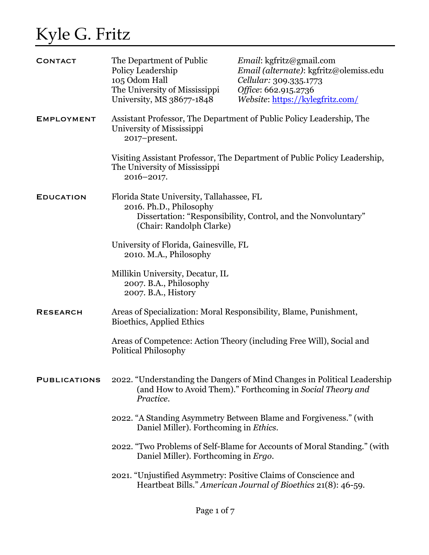## Kyle G. Fritz

| <b>CONTACT</b>      | The Department of Public<br>Policy Leadership<br>105 Odom Hall<br>The University of Mississippi<br>University, MS 38677-1848                                      | <i>Email</i> : kgfritz@gmail.com<br>Email (alternate): kgfritz@olemiss.edu<br>Cellular: 309.335.1773<br>Office: 662.915.2736<br>Website: https://kylegfritz.com/ |  |  |  |
|---------------------|-------------------------------------------------------------------------------------------------------------------------------------------------------------------|------------------------------------------------------------------------------------------------------------------------------------------------------------------|--|--|--|
| <b>EMPLOYMENT</b>   | Assistant Professor, The Department of Public Policy Leadership, The<br>University of Mississippi<br>2017-present.                                                |                                                                                                                                                                  |  |  |  |
|                     | Visiting Assistant Professor, The Department of Public Policy Leadership,<br>The University of Mississippi<br>2016-2017.                                          |                                                                                                                                                                  |  |  |  |
| <b>EDUCATION</b>    | Florida State University, Tallahassee, FL<br>2016. Ph.D., Philosophy<br>Dissertation: "Responsibility, Control, and the Nonvoluntary"<br>(Chair: Randolph Clarke) |                                                                                                                                                                  |  |  |  |
|                     | University of Florida, Gainesville, FL<br>2010. M.A., Philosophy                                                                                                  |                                                                                                                                                                  |  |  |  |
|                     | Millikin University, Decatur, IL<br>2007. B.A., Philosophy<br>2007. B.A., History                                                                                 |                                                                                                                                                                  |  |  |  |
| <b>RESEARCH</b>     | Areas of Specialization: Moral Responsibility, Blame, Punishment,<br>Bioethics, Applied Ethics                                                                    |                                                                                                                                                                  |  |  |  |
|                     | Areas of Competence: Action Theory (including Free Will), Social and<br><b>Political Philosophy</b>                                                               |                                                                                                                                                                  |  |  |  |
| <b>PUBLICATIONS</b> | 2022. "Understanding the Dangers of Mind Changes in Political Leadership<br>(and How to Avoid Them)." Forthcoming in Social Theory and<br>Practice.               |                                                                                                                                                                  |  |  |  |
|                     | 2022. "A Standing Asymmetry Between Blame and Forgiveness." (with<br>Daniel Miller). Forthcoming in Ethics.                                                       |                                                                                                                                                                  |  |  |  |
|                     | 2022. "Two Problems of Self-Blame for Accounts of Moral Standing." (with<br>Daniel Miller). Forthcoming in <i>Ergo</i> .                                          |                                                                                                                                                                  |  |  |  |
|                     | 2021. "Unjustified Asymmetry: Positive Claims of Conscience and                                                                                                   | Heartbeat Bills." American Journal of Bioethics 21(8): 46-59.                                                                                                    |  |  |  |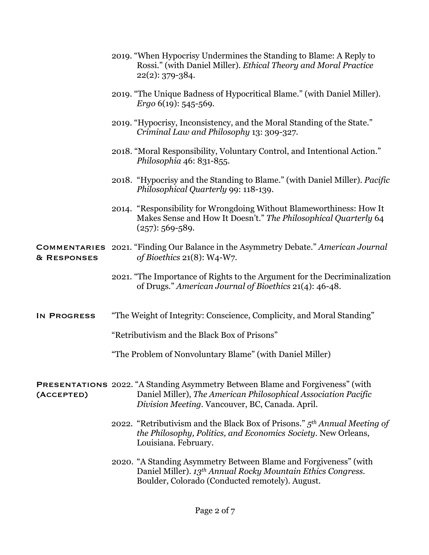- 2019. "When Hypocrisy Undermines the Standing to Blame: A Reply to Rossi." (with Daniel Miller). *Ethical Theory and Moral Practice* 22(2): 379-384.
- 2019. "The Unique Badness of Hypocritical Blame." (with Daniel Miller). *Ergo* 6(19): 545-569.
- 2019. "Hypocrisy, Inconsistency, and the Moral Standing of the State." *Criminal Law and Philosophy* 13: 309-327.
- 2018. "Moral Responsibility, Voluntary Control, and Intentional Action." *Philosophia* 46: 831-855.
- 2018. "Hypocrisy and the Standing to Blame." (with Daniel Miller). *Pacific Philosophical Quarterly* 99: 118-139.
- 2014. "Responsibility for Wrongdoing Without Blameworthiness: How It Makes Sense and How It Doesn't." *The Philosophical Quarterly* 64 (257): 569-589.
- Commentaries 2021. "Finding Our Balance in the Asymmetry Debate." *American Journal*  & Responses *of Bioethics* 21(8): W4-W7.
	- 2021. "The Importance of Rights to the Argument for the Decriminalization of Drugs." *American Journal of Bioethics* 21(4): 46-48.
- In Progress "The Weight of Integrity: Conscience, Complicity, and Moral Standing"

"Retributivism and the Black Box of Prisons"

"The Problem of Nonvoluntary Blame" (with Daniel Miller)

Presentations 2022. "A Standing Asymmetry Between Blame and Forgiveness" (with (Accepted) Daniel Miller), *The American Philosophical Association Pacific Division Meeting.* Vancouver, BC, Canada. April.

- 2022. "Retributivism and the Black Box of Prisons." *5th Annual Meeting of the Philosophy, Politics, and Economics Society*. New Orleans, Louisiana. February.
- 2020. "A Standing Asymmetry Between Blame and Forgiveness" (with Daniel Miller). *13th Annual Rocky Mountain Ethics Congress*. Boulder, Colorado (Conducted remotely). August.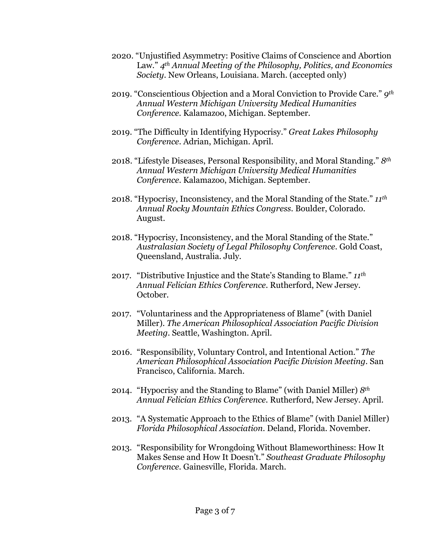- 2020. "Unjustified Asymmetry: Positive Claims of Conscience and Abortion Law." *4th Annual Meeting of the Philosophy, Politics, and Economics Society*. New Orleans, Louisiana. March. (accepted only)
- 2019. "Conscientious Objection and a Moral Conviction to Provide Care." *9th Annual Western Michigan University Medical Humanities Conference.* Kalamazoo, Michigan. September.
- 2019. "The Difficulty in Identifying Hypocrisy." *Great Lakes Philosophy Conference*. Adrian, Michigan. April.
- 2018. "Lifestyle Diseases, Personal Responsibility, and Moral Standing." *8th Annual Western Michigan University Medical Humanities Conference*. Kalamazoo, Michigan. September.
- 2018. "Hypocrisy, Inconsistency, and the Moral Standing of the State." *11th Annual Rocky Mountain Ethics Congress*. Boulder, Colorado. August.
- 2018. "Hypocrisy, Inconsistency, and the Moral Standing of the State." *Australasian Society of Legal Philosophy Conference*. Gold Coast, Queensland, Australia. July.
- 2017. "Distributive Injustice and the State's Standing to Blame." *11th Annual Felician Ethics Conference*. Rutherford, New Jersey. October.
- 2017. "Voluntariness and the Appropriateness of Blame" (with Daniel Miller). *The American Philosophical Association Pacific Division Meeting*. Seattle, Washington. April.
- 2016. "Responsibility, Voluntary Control, and Intentional Action." *The American Philosophical Association Pacific Division Meeting.* San Francisco, California. March.
- 2014. "Hypocrisy and the Standing to Blame" (with Daniel Miller) *8th Annual Felician Ethics Conference.* Rutherford, New Jersey. April.
- 2013. "A Systematic Approach to the Ethics of Blame" (with Daniel Miller) *Florida Philosophical Association*. Deland, Florida. November.
- 2013. "Responsibility for Wrongdoing Without Blameworthiness: How It Makes Sense and How It Doesn't." *Southeast Graduate Philosophy Conference.* Gainesville, Florida. March.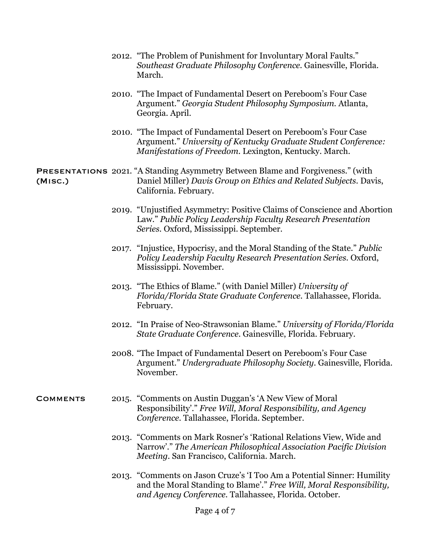- 2012. "The Problem of Punishment for Involuntary Moral Faults." *Southeast Graduate Philosophy Conference.* Gainesville, Florida. March.
- 2010. "The Impact of Fundamental Desert on Pereboom's Four Case Argument." *Georgia Student Philosophy Symposium.* Atlanta, Georgia. April.
- 2010. "The Impact of Fundamental Desert on Pereboom's Four Case Argument." *University of Kentucky Graduate Student Conference: Manifestations of Freedom.* Lexington, Kentucky. March.

Presentations 2021. "A Standing Asymmetry Between Blame and Forgiveness." (with (Misc.) Daniel Miller) *Davis Group on Ethics and Related Subjects*. Davis, California. February.

- 2019. "Unjustified Asymmetry: Positive Claims of Conscience and Abortion Law." *Public Policy Leadership Faculty Research Presentation Series.* Oxford, Mississippi. September.
- 2017. "Injustice, Hypocrisy, and the Moral Standing of the State." *Public Policy Leadership Faculty Research Presentation Series.* Oxford, Mississippi. November.
- 2013. "The Ethics of Blame." (with Daniel Miller) *University of Florida/Florida State Graduate Conference.* Tallahassee, Florida. February.
- 2012. "In Praise of Neo-Strawsonian Blame." *University of Florida/Florida State Graduate Conference.* Gainesville, Florida. February.
- 2008. "The Impact of Fundamental Desert on Pereboom's Four Case Argument." *Undergraduate Philosophy Society.* Gainesville, Florida. November.
- Comments 2015. "Comments on Austin Duggan's 'A New View of Moral Responsibility'." *Free Will, Moral Responsibility, and Agency Conference.* Tallahassee, Florida. September.
	- 2013. "Comments on Mark Rosner's 'Rational Relations View, Wide and Narrow'." *The American Philosophical Association Pacific Division Meeting.* San Francisco, California. March.
	- 2013. "Comments on Jason Cruze's 'I Too Am a Potential Sinner: Humility and the Moral Standing to Blame'." *Free Will, Moral Responsibility, and Agency Conference.* Tallahassee, Florida. October.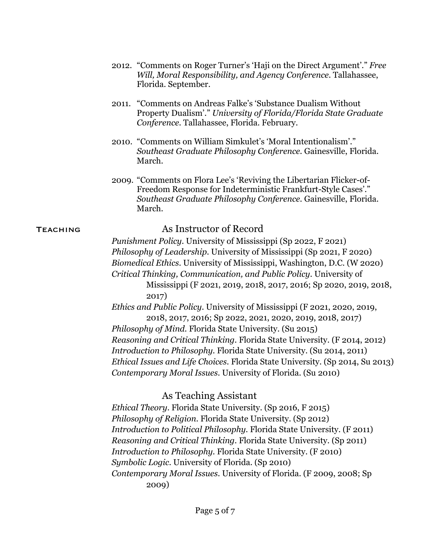- 2012. "Comments on Roger Turner's 'Haji on the Direct Argument'." *Free Will, Moral Responsibility, and Agency Conference.* Tallahassee, Florida. September.
- 2011. "Comments on Andreas Falke's 'Substance Dualism Without Property Dualism'." *University of Florida/Florida State Graduate Conference.* Tallahassee, Florida. February.
- 2010. "Comments on William Simkulet's 'Moral Intentionalism'." *Southeast Graduate Philosophy Conference.* Gainesville, Florida. March.
- 2009. "Comments on Flora Lee's 'Reviving the Libertarian Flicker-of-Freedom Response for Indeterministic Frankfurt-Style Cases'." *Southeast Graduate Philosophy Conference.* Gainesville, Florida. March.

## Teaching As Instructor of Record

*Punishment Policy*. University of Mississippi (Sp 2022, F 2021) *Philosophy of Leadership*. University of Mississippi (Sp 2021, F 2020) *Biomedical Ethics*. University of Mississippi, Washington, D.C. (W 2020) *Critical Thinking, Communication, and Public Policy*. University of Mississippi (F 2021, 2019, 2018, 2017, 2016; Sp 2020, 2019, 2018, 2017) *Ethics and Public Policy*. University of Mississippi (F 2021, 2020, 2019, 2018, 2017, 2016; Sp 2022, 2021, 2020, 2019, 2018, 2017) *Philosophy of Mind.* Florida State University. (Su 2015) *Reasoning and Critical Thinking*. Florida State University. (F 2014, 2012) *Introduction to Philosophy*. Florida State University. (Su 2014, 2011)

*Ethical Issues and Life Choices*. Florida State University. (Sp 2014, Su 2013) *Contemporary Moral Issues*. University of Florida. (Su 2010)

## As Teaching Assistant

*Ethical Theory*. Florida State University. (Sp 2016, F 2015) *Philosophy of Religion*. Florida State University. (Sp 2012) *Introduction to Political Philosophy*. Florida State University. (F 2011) *Reasoning and Critical Thinking*. Florida State University. (Sp 2011) *Introduction to Philosophy*. Florida State University. (F 2010) *Symbolic Logic*. University of Florida. (Sp 2010) *Contemporary Moral Issues*. University of Florida. (F 2009, 2008; Sp 2009)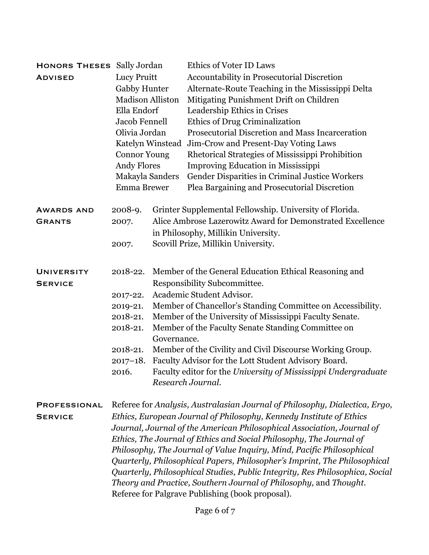| <b>HONORS THESES</b> Sally Jordan |                                                                              |                  | <b>Ethics of Voter ID Laws</b>                                              |
|-----------------------------------|------------------------------------------------------------------------------|------------------|-----------------------------------------------------------------------------|
| <b>ADVISED</b>                    | <b>Lucy Pruitt</b>                                                           |                  | Accountability in Prosecutorial Discretion                                  |
|                                   | <b>Gabby Hunter</b>                                                          |                  | Alternate-Route Teaching in the Mississippi Delta                           |
|                                   | <b>Madison Alliston</b>                                                      |                  | Mitigating Punishment Drift on Children                                     |
|                                   | Ella Endorf                                                                  |                  | Leadership Ethics in Crises                                                 |
|                                   | Jacob Fennell                                                                |                  | Ethics of Drug Criminalization                                              |
|                                   | Olivia Jordan                                                                |                  | Prosecutorial Discretion and Mass Incarceration                             |
|                                   |                                                                              | Katelyn Winstead | Jim-Crow and Present-Day Voting Laws                                        |
|                                   | <b>Connor Young</b>                                                          |                  | Rhetorical Strategies of Mississippi Prohibition                            |
|                                   | <b>Andy Flores</b>                                                           |                  | <b>Improving Education in Mississippi</b>                                   |
|                                   | Makayla Sanders                                                              |                  | Gender Disparities in Criminal Justice Workers                              |
|                                   | <b>Emma Brewer</b>                                                           |                  | Plea Bargaining and Prosecutorial Discretion                                |
| <b>AWARDS AND</b>                 | 2008-9.                                                                      |                  | Grinter Supplemental Fellowship. University of Florida.                     |
| <b>GRANTS</b>                     | 2007.                                                                        |                  | Alice Ambrose Lazerowitz Award for Demonstrated Excellence                  |
|                                   |                                                                              |                  | in Philosophy, Millikin University.                                         |
|                                   | 2007.                                                                        |                  | Scovill Prize, Millikin University.                                         |
|                                   |                                                                              |                  |                                                                             |
| <b>UNIVERSITY</b>                 | 2018-22.                                                                     |                  | Member of the General Education Ethical Reasoning and                       |
| <b>SERVICE</b>                    |                                                                              |                  | Responsibility Subcommittee.                                                |
|                                   | 2017-22.                                                                     |                  | Academic Student Advisor.                                                   |
|                                   | 2019-21.                                                                     |                  | Member of Chancellor's Standing Committee on Accessibility.                 |
|                                   | 2018-21.                                                                     |                  | Member of the University of Mississippi Faculty Senate.                     |
|                                   | 2018-21.                                                                     |                  | Member of the Faculty Senate Standing Committee on                          |
|                                   |                                                                              | Governance.      |                                                                             |
|                                   | 2018-21.                                                                     |                  | Member of the Civility and Civil Discourse Working Group.                   |
|                                   | $2017 - 18.$                                                                 |                  | Faculty Advisor for the Lott Student Advisory Board.                        |
|                                   | 2016.                                                                        |                  | Faculty editor for the University of Mississippi Undergraduate              |
|                                   |                                                                              |                  | Research Journal.                                                           |
| <b>PROFESSIONAL</b>               |                                                                              |                  | Referee for Analysis, Australasian Journal of Philosophy, Dialectica, Ergo, |
| <b>SERVICE</b>                    | Ethics, European Journal of Philosophy, Kennedy Institute of Ethics          |                  |                                                                             |
|                                   | Journal, Journal of the American Philosophical Association, Journal of       |                  |                                                                             |
|                                   | Ethics, The Journal of Ethics and Social Philosophy, The Journal of          |                  |                                                                             |
|                                   | Philosophy, The Journal of Value Inquiry, Mind, Pacific Philosophical        |                  |                                                                             |
|                                   | Quarterly, Philosophical Papers, Philosopher's Imprint, The Philosophical    |                  |                                                                             |
|                                   | Quarterly, Philosophical Studies, Public Integrity, Res Philosophica, Social |                  |                                                                             |
|                                   | Theory and Practice, Southern Journal of Philosophy, and Thought.            |                  |                                                                             |
|                                   | Referee for Palgrave Publishing (book proposal).                             |                  |                                                                             |